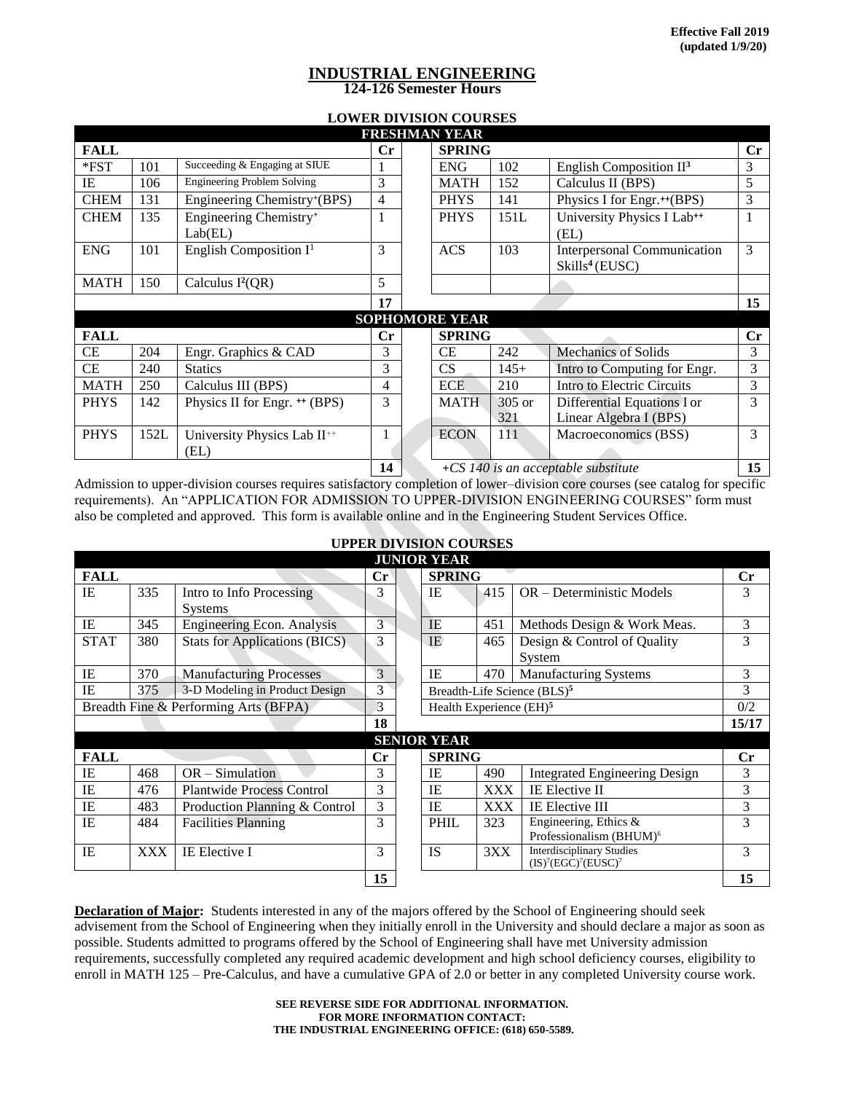## **INDUSTRIAL ENGINEERING 124-126 Semester Hours**

# **LOWER DIVISION COURSES**

| <b>FRESHMAN YEAR</b>  |      |                                               |                |  |                                                      |                                                           |                            |    |  |  |
|-----------------------|------|-----------------------------------------------|----------------|--|------------------------------------------------------|-----------------------------------------------------------|----------------------------|----|--|--|
| <b>FALL</b>           |      |                                               | $\mathbf{C}$ r |  | <b>SPRING</b><br>$\mathbf{C}$ r                      |                                                           |                            |    |  |  |
| $*$ FST               | 101  | Succeeding & Engaging at SIUE                 |                |  | <b>ENG</b><br>102<br>English Composition $II^3$      |                                                           |                            | 3  |  |  |
| IE                    | 106  | <b>Engineering Problem Solving</b>            | 3              |  | <b>MATH</b>                                          | 152<br>Calculus II (BPS)                                  |                            |    |  |  |
| <b>CHEM</b>           | 131  | Engineering Chemistry+(BPS)                   | 4              |  | <b>PHYS</b>                                          | 141<br>Physics I for Engr. <sup>++</sup> (BPS)            |                            |    |  |  |
| <b>CHEM</b>           | 135  | Engineering Chemistry <sup>+</sup><br>Lab(EL) |                |  | <b>PHYS</b>                                          | University Physics I Lab <sup>++</sup><br>(EL)            | 1                          |    |  |  |
| <b>ENG</b>            | 101  | English Composition $I^1$                     | 3              |  | <b>ACS</b>                                           | Interpersonal Communication<br>Skills <sup>4</sup> (EUSC) | 3                          |    |  |  |
| <b>MATH</b>           | 150  | Calculus $I^2(QR)$                            | 5              |  |                                                      |                                                           |                            |    |  |  |
|                       |      |                                               | 17             |  |                                                      |                                                           |                            | 15 |  |  |
| <b>SOPHOMORE YEAR</b> |      |                                               |                |  |                                                      |                                                           |                            |    |  |  |
| <b>FALL</b>           |      |                                               | $\mathbf{C}$ r |  | <b>SPRING</b>                                        |                                                           |                            | Cr |  |  |
| <b>CE</b>             | 204  | Engr. Graphics & CAD                          | 3              |  | <b>CE</b>                                            | 242                                                       | <b>Mechanics of Solids</b> | 3  |  |  |
| CE                    | 240  | <b>Statics</b>                                | 3              |  | CS                                                   | $145+$<br>Intro to Computing for Engr.                    |                            | 3  |  |  |
| <b>MATH</b>           | 250  | Calculus III (BPS)                            | 4              |  | <b>ECE</b>                                           | 210                                                       | Intro to Electric Circuits | 3  |  |  |
| <b>PHYS</b>           | 142  | Physics II for Engr. <sup>++</sup> (BPS)      | 3              |  | <b>MATH</b><br>305 or<br>Differential Equations I or |                                                           | 3                          |    |  |  |
|                       |      |                                               |                |  |                                                      | 321                                                       | Linear Algebra I (BPS)     |    |  |  |
| <b>PHYS</b>           | 152L | University Physics Lab II <sup>++</sup>       |                |  | <b>ECON</b>                                          | 111                                                       | Macroeconomics (BSS)       | 3  |  |  |
|                       |      | (EL)                                          |                |  |                                                      |                                                           |                            |    |  |  |
|                       |      |                                               |                |  | +CS 140 is an acceptable substitute                  |                                                           |                            |    |  |  |

Admission to upper-division courses requires satisfactory completion of lower–division core courses (see catalog for specific requirements). An "APPLICATION FOR ADMISSION TO UPPER-DIVISION ENGINEERING COURSES" form must also be completed and approved. This form is available online and in the Engineering Student Services Office.

**UPPER DIVISION COURSES**

| <b>JUNIOR YEAR</b>                          |            |                                      |                |  |               |                                         |                                                                               |                |  |  |  |
|---------------------------------------------|------------|--------------------------------------|----------------|--|---------------|-----------------------------------------|-------------------------------------------------------------------------------|----------------|--|--|--|
| <b>FALL</b>                                 |            |                                      | Cr             |  | <b>SPRING</b> |                                         |                                                                               |                |  |  |  |
| <b>IE</b>                                   | 335        | Intro to Info Processing             | 3              |  | IE            | 415                                     | OR - Deterministic Models                                                     | 3              |  |  |  |
|                                             |            | <b>Systems</b>                       |                |  |               |                                         |                                                                               |                |  |  |  |
| IE                                          | 345        | <b>Engineering Econ. Analysis</b>    | 3              |  | IE            | 451                                     | Methods Design & Work Meas.                                                   | 3              |  |  |  |
| <b>STAT</b>                                 | 380        | <b>Stats for Applications (BICS)</b> | 3              |  | <b>IE</b>     | 465                                     | Design & Control of Quality                                                   | 3              |  |  |  |
|                                             |            |                                      |                |  |               |                                         | System                                                                        |                |  |  |  |
| <b>IE</b>                                   | 370        | <b>Manufacturing Processes</b>       | $\overline{3}$ |  | <b>IE</b>     | 470                                     | <b>Manufacturing Systems</b>                                                  | 3              |  |  |  |
| 3-D Modeling in Product Design<br>375<br>IE |            |                                      | 3              |  |               | Breadth-Life Science (BLS) <sup>5</sup> |                                                                               |                |  |  |  |
| Breadth Fine & Performing Arts (BFPA)       |            |                                      | 3              |  |               | Health Experience (EH) <sup>5</sup>     |                                                                               |                |  |  |  |
|                                             |            |                                      |                |  |               |                                         |                                                                               | 15/17          |  |  |  |
| <b>SENIOR YEAR</b>                          |            |                                      |                |  |               |                                         |                                                                               |                |  |  |  |
| <b>FALL</b>                                 |            |                                      | $\mathbf{C}$ r |  | <b>SPRING</b> |                                         |                                                                               | $\mathbf{C}$ r |  |  |  |
| <b>IE</b>                                   | 468        | $OR$ – Simulation                    | 3              |  | IE            | 490                                     | <b>Integrated Engineering Design</b>                                          | 3              |  |  |  |
| IE                                          | 476        | <b>Plantwide Process Control</b>     | 3              |  | IE            | <b>XXX</b>                              | <b>IE Elective II</b>                                                         | 3              |  |  |  |
| IE                                          | 483        | Production Planning & Control        | 3              |  | IE            | <b>XXX</b>                              | IE Elective III                                                               | 3              |  |  |  |
| <b>IE</b>                                   | 484        | <b>Facilities Planning</b>           | 3              |  | <b>PHIL</b>   | 323                                     | Engineering, Ethics &                                                         | 3              |  |  |  |
|                                             |            |                                      |                |  |               |                                         | Professionalism (BHUM) <sup>6</sup>                                           |                |  |  |  |
| IE                                          | <b>XXX</b> | IE Elective I                        | 3              |  | <b>IS</b>     | 3XX                                     | <b>Interdisciplinary Studies</b><br>$(IS)^7 (EG\overset{\sim}{C})^7 (EUSC)^7$ | 3              |  |  |  |
|                                             |            |                                      |                |  |               |                                         |                                                                               |                |  |  |  |
|                                             |            |                                      | 15             |  |               |                                         |                                                                               | 15             |  |  |  |

**Declaration of Major:** Students interested in any of the majors offered by the School of Engineering should seek advisement from the School of Engineering when they initially enroll in the University and should declare a major as soon as possible. Students admitted to programs offered by the School of Engineering shall have met University admission requirements, successfully completed any required academic development and high school deficiency courses, eligibility to enroll in MATH 125 – Pre-Calculus, and have a cumulative GPA of 2.0 or better in any completed University course work.

> **SEE REVERSE SIDE FOR ADDITIONAL INFORMATION. FOR MORE INFORMATION CONTACT: THE INDUSTRIAL ENGINEERING OFFICE: (618) 650-5589.**